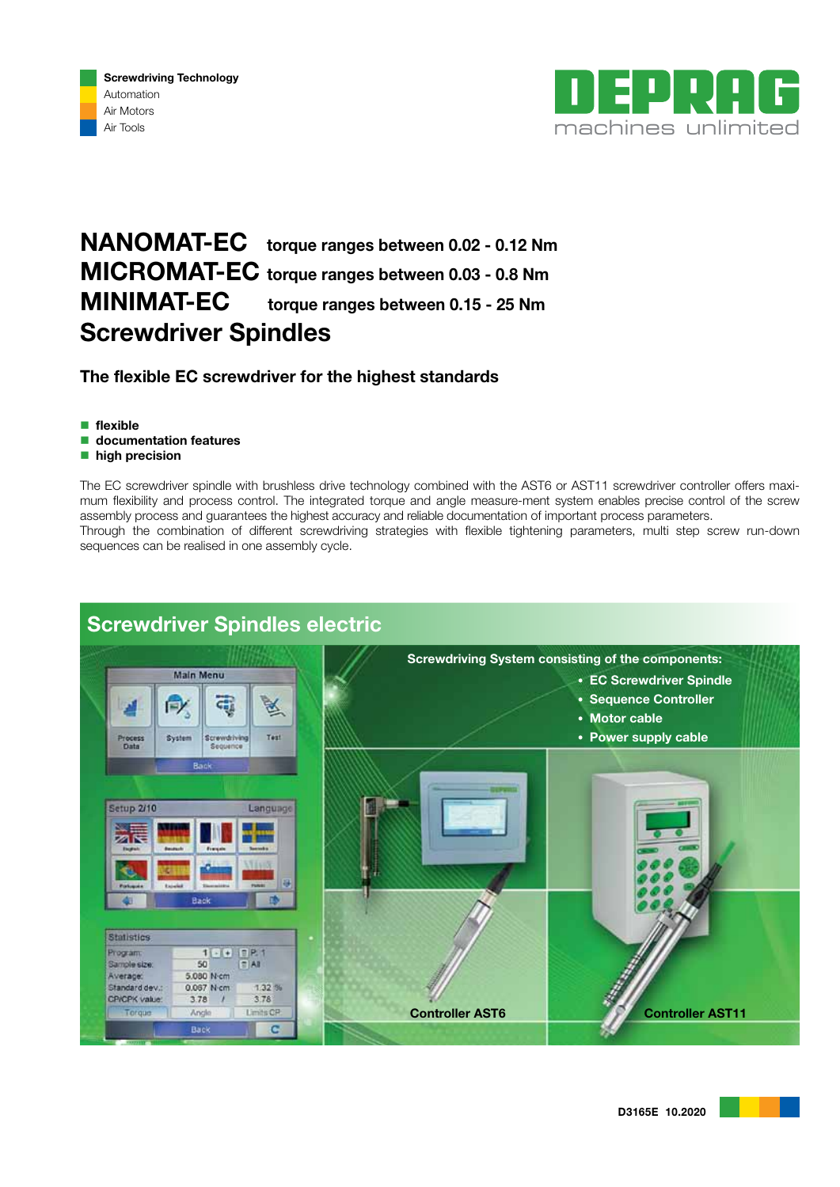



# NANOMAT-EC torque ranges between 0.02 - 0.12 Nm MICROMAT-EC torque ranges between 0.03 - 0.8 Nm MINIMAT-EC torque ranges between 0.15 - 25 Nm Screwdriver Spindles

The flexible EC screwdriver for the highest standards

- $\blacksquare$  flexible
- **documentation features**
- high precision

The EC screwdriver spindle with brushless drive technology combined with the AST6 or AST11 screwdriver controller offers maximum flexibility and process control. The integrated torque and angle measure-ment system enables precise control of the screw assembly process and guarantees the highest accuracy and reliable documentation of important process parameters. Through the combination of different screwdriving strategies with flexible tightening parameters, multi step screw run-down sequences can be realised in one assembly cycle.



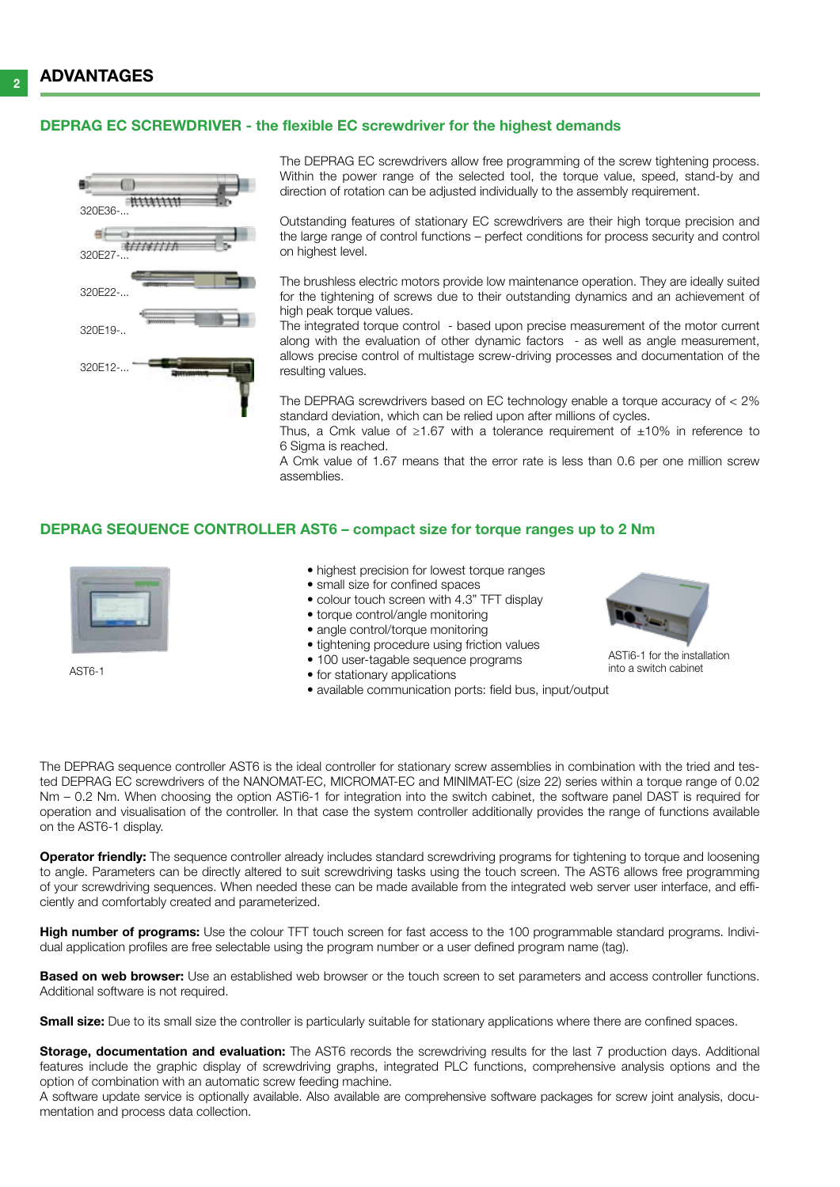#### DEPRAG EC screwdriver - the flexible EC screwdriver for the highest demands



The DEPRAG EC screwdrivers allow free programming of the screw tightening process. Within the power range of the selected tool, the torque value, speed, stand-by and direction of rotation can be adjusted individually to the assembly requirement.

Outstanding features of stationary EC screwdrivers are their high torque precision and the large range of control functions – perfect conditions for process security and control on highest level.

The brushless electric motors provide low maintenance operation. They are ideally suited for the tightening of screws due to their outstanding dynamics and an achievement of high peak torque values.

The integrated torque control - based upon precise measurement of the motor current along with the evaluation of other dynamic factors - as well as angle measurement, allows precise control of multistage screw-driving processes and documentation of the resulting values.

The DEPRAG screwdrivers based on EC technology enable a torque accuracy of < 2% standard deviation, which can be relied upon after millions of cycles.

Thus, a Cmk value of  $\geq 1.67$  with a tolerance requirement of  $\pm 10\%$  in reference to 6 Sigma is reached.

A Cmk value of 1.67 means that the error rate is less than 0.6 per one million screw assemblies.

#### DEPRAG SEQUENCE CONTROLLER AST6 – compact size for torque ranges up to 2 Nm



AST6-1

- highest precision for lowest torque ranges
- small size for confined spaces
- colour touch screen with 4.3" TFT display
- torque control/angle monitoring
- angle control/torque monitoring
- tightening procedure using friction values
- 100 user-tagable sequence programs
- for stationary applications
- available communication ports: field bus, input/output



ASTi6-1 for the installation into a switch cabinet

The DEPRAG sequence controller AST6 is the ideal controller for stationary screw assemblies in combination with the tried and tested DEPRAG EC screwdrivers of the NANOMAT-EC, MICROMAT-EC and MINIMAT-EC (size 22) series within a torque range of 0.02 Nm – 0.2 Nm. When choosing the option ASTi6-1 for integration into the switch cabinet, the software panel DAST is required for operation and visualisation of the controller. In that case the system controller additionally provides the range of functions available on the AST6-1 display.

**Operator friendly:** The sequence controller already includes standard screwdriving programs for tightening to torque and loosening to angle. Parameters can be directly altered to suit screwdriving tasks using the touch screen. The AST6 allows free programming of your screwdriving sequences. When needed these can be made available from the integrated web server user interface, and efficiently and comfortably created and parameterized.

High number of programs: Use the colour TFT touch screen for fast access to the 100 programmable standard programs. Individual application profiles are free selectable using the program number or a user defined program name (tag).

Based on web browser: Use an established web browser or the touch screen to set parameters and access controller functions. Additional software is not required.

**Small size:** Due to its small size the controller is particularly suitable for stationary applications where there are confined spaces.

Storage, documentation and evaluation: The AST6 records the screwdriving results for the last 7 production days. Additional features include the graphic display of screwdriving graphs, integrated PLC functions, comprehensive analysis options and the option of combination with an automatic screw feeding machine.

A software update service is optionally available. Also available are comprehensive software packages for screw joint analysis, documentation and process data collection.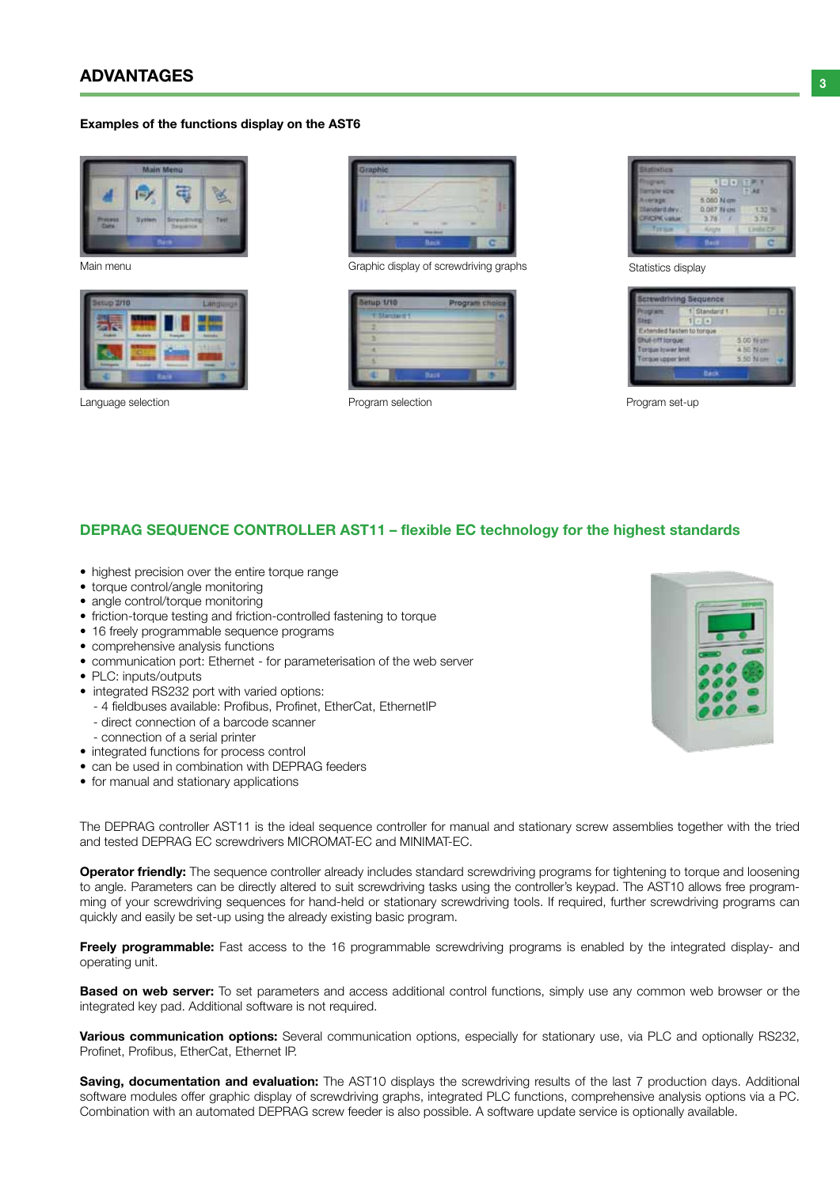# $\overline{2}$  advantages and  $\overline{3}$

#### Examples of the functions display on the AST6



Main menu



Language selection



Graphic display of screwdriving graphs

| etup 1/10        | <b>OGFARE ERI</b> |
|------------------|-------------------|
| <b>E Manterd</b> |                   |
|                  |                   |
|                  |                   |
|                  |                   |
|                  |                   |
|                  | <b>Back</b>       |

Program selection **Program set-up** 



Statistics display

|                          | Screwdriving Sequence     |           |
|--------------------------|---------------------------|-----------|
| Результе.                | 1 Standard 1              | $-14$     |
| Sirp.                    | 1.14                      |           |
|                          | Extended fasten to torque |           |
| Dhut-inff torque:        |                           | 500 Mom   |
| Torque kiwer knit        |                           | 4.50 N cm |
| <b>Torque upper lent</b> |                           | 5.50 N cm |
|                          | Back-                     |           |

## DEPRAG SEQUENCE CONTROLLER AST11 – flexible EC technology for the highest standards

- highest precision over the entire torque range
- torque control/angle monitoring
- angle control/torque monitoring
- friction-torque testing and friction-controlled fastening to torque
- 16 freely programmable sequence programs
- comprehensive analysis functions
- communication port: Ethernet for parameterisation of the web server
- PLC: inputs/outputs
- integrated RS232 port with varied options:
	- 4 fieldbuses available: Profibus, Profinet, EtherCat, EthernetIP
	- direct connection of a barcode scanner
- connection of a serial printer
- integrated functions for process control
- can be used in combination with DEPRAG feeders
- for manual and stationary applications

The DEPRAG controller AST11 is the ideal sequence controller for manual and stationary screw assemblies together with the tried and tested DEPRAG EC screwdrivers MICROMAT-EC and MINIMAT-EC.

Operator friendly: The sequence controller already includes standard screwdriving programs for tightening to torque and loosening to angle. Parameters can be directly altered to suit screwdriving tasks using the controller's keypad. The AST10 allows free programming of your screwdriving sequences for hand-held or stationary screwdriving tools. If required, further screwdriving programs can quickly and easily be set-up using the already existing basic program.

Freely programmable: Fast access to the 16 programmable screwdriving programs is enabled by the integrated display- and operating unit.

**Based on web server:** To set parameters and access additional control functions, simply use any common web browser or the integrated key pad. Additional software is not required.

Various communication options: Several communication options, especially for stationary use, via PLC and optionally RS232, Profinet, Profibus, EtherCat, Ethernet IP.

Saving, documentation and evaluation: The AST10 displays the screwdriving results of the last 7 production days. Additional software modules offer graphic display of screwdriving graphs, integrated PLC functions, comprehensive analysis options via a PC. Combination with an automated DEPRAG screw feeder is also possible. A software update service is optionally available.

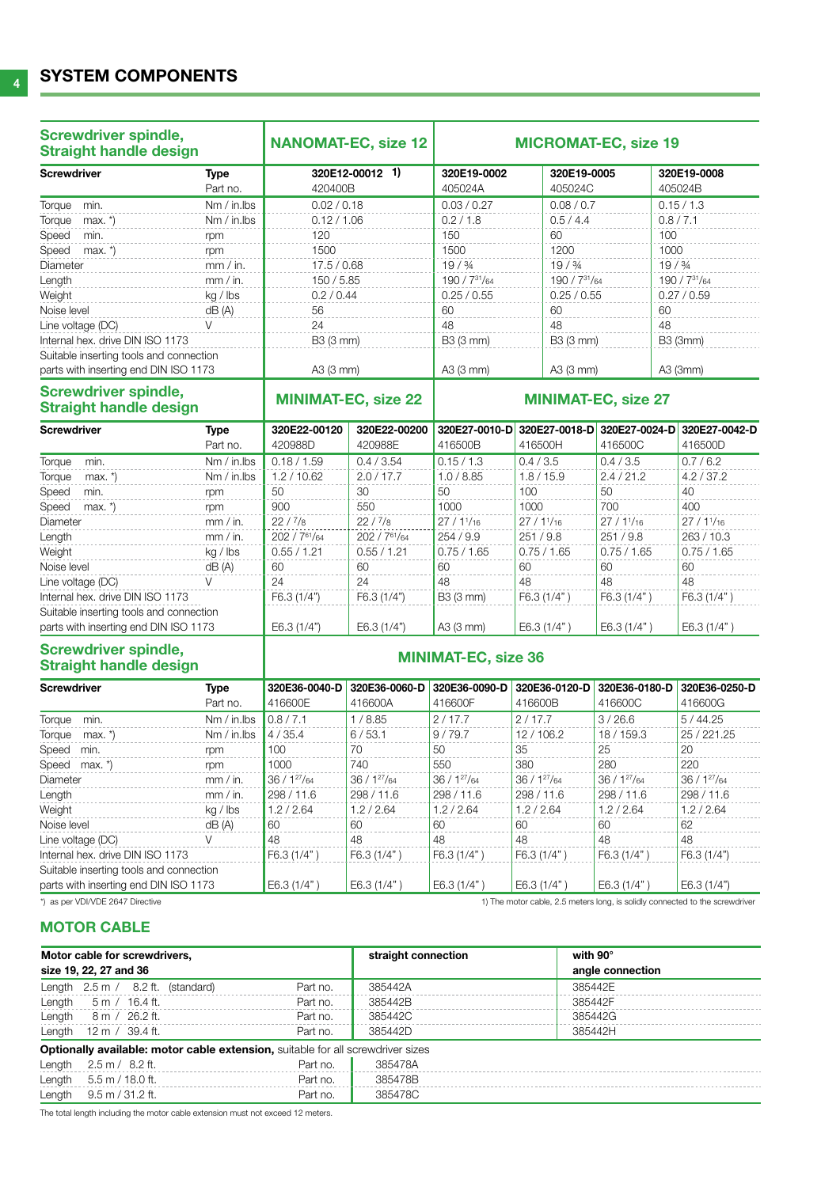| <b>Screwdriver spindle,</b><br><b>Straight handle design</b> |                         | <b>NANOMAT-EC, size 12</b> |                            |                            |                        | <b>MICROMAT-EC, size 19</b> |                        |
|--------------------------------------------------------------|-------------------------|----------------------------|----------------------------|----------------------------|------------------------|-----------------------------|------------------------|
| <b>Screwdriver</b>                                           | <b>Type</b><br>Part no. | 320E12-00012 1)<br>420400B |                            | 320E19-0002<br>405024A     | 320E19-0005<br>405024C |                             | 320E19-0008<br>405024B |
| Torque<br>min.                                               | Nm / in.lbs             | 0.02 / 0.18                |                            | 0.03 / 0.27<br>0.08 / 0.7  |                        | 0.15 / 1.3                  |                        |
| Torque<br>$max.$ $*)$                                        | Nm / in.lbs             | 0.12 / 1.06                |                            | 0.2 / 1.8                  | 0.5 / 4.4              |                             | 0.8 / 7.1              |
| Speed<br>min.                                                | rpm                     | 120                        |                            | 150                        | 60                     | 100                         |                        |
| Speed<br>max. $*$                                            | rpm                     | 1500                       |                            | 1500                       | 1200                   | 1000                        |                        |
| Diameter                                                     | mm / in.                | 17.5 / 0.68                |                            | $19/$ $\frac{3}{4}$        | $19/$ $\frac{3}{4}$    |                             | $19/$ $\frac{3}{4}$    |
| Length                                                       | mm / in.                | 150 / 5.85                 |                            | 190 / 731/64               | 190 / 731/64           |                             | 190 / 731/64           |
| Weight                                                       | kg / lbs                | 0.2 / 0.44                 |                            | 0.25 / 0.55                | 0.25 / 0.55            |                             | 0.27 / 0.59            |
| Noise level                                                  | dB(A)                   | 56                         |                            | 60                         | 60                     | 60                          |                        |
| Line voltage (DC)                                            | V                       | 24                         |                            | 48                         | 48                     | 48                          |                        |
| Internal hex. drive DIN ISO 1173                             |                         | B3 (3 mm)                  |                            | B3 (3 mm)                  | B3 (3 mm)              |                             | <b>B3 (3mm)</b>        |
| Suitable inserting tools and connection                      |                         |                            |                            |                            |                        |                             |                        |
| parts with inserting end DIN ISO 1173                        |                         | A3 (3 mm)                  |                            | A3 (3 mm)                  | A3 (3 mm)              |                             | A3 (3mm)               |
| <b>Screwdriver spindle,</b><br><b>Straight handle design</b> |                         |                            | <b>MINIMAT-EC, size 22</b> | <b>MINIMAT-EC, size 27</b> |                        |                             |                        |
| <b>Screwdriver</b>                                           | <b>Type</b>             | 320E22-00120               | 320E22-00200               | 320E27-0010-D              | 320E27-0018-D          | 320E27-0024-D               | 320E27-0042-D          |
|                                                              | Part no.                | 420988D                    | 420988E                    | 416500B                    | 416500H                | 416500C                     | 416500D                |
| Torque<br>min.                                               | Nm / in.lbs             | 0.18 / 1.59                | 0.4 / 3.54                 | 0.15 / 1.3                 | 0.4 / 3.5              | 0.4 / 3.5                   | 0.7/6.2                |
| Torque<br>$max.$ $*$ )                                       | Nm / in.lbs             | 1.2 / 10.62                | 2.0 / 17.7                 | 1.0 / 8.85                 | 1.8 / 15.9             | 2.4 / 21.2                  | 4.2 / 37.2             |
| Speed<br>min.                                                | rpm                     | 50                         | 30                         | 50                         | 100                    | 50                          | 40                     |
| Speed<br>max. $*$ )                                          | rpm                     | 900                        | 550                        | 1000                       | 1000                   | 700                         | 400                    |
| Diameter                                                     | mm / in.                | 22/7/8                     | 22/7/8                     | 27/11/16                   | 27/11/16               | 27/11/16                    | 27/11/16               |
| Length                                                       | mm / in.                | $202 / 7^{61}/64$          | 202 / 761/64               | 254 / 9.9                  | 251/9.8                | 251/9.8                     | 263 / 10.3             |
| Weight                                                       | kg / lbs                | 0.55 / 1.21                | 0.55 / 1.21                | 0.75 / 1.65                | 0.75/1.65              | 0.75/1.65                   | 0.75/1.65              |
| Noise level                                                  | dB(A)                   | 60                         | 60                         | 60                         | 60                     | 60                          | 60                     |
| Line voltage (DC)                                            | $\vee$                  | 24                         | 24                         | 48                         | 48                     | 48                          | 48                     |
| Internal hex. drive DIN ISO 1173                             |                         | F6.3 (1/4")                | F6.3 (1/4")                | B3 (3 mm)                  | F6.3 (1/4")            | F6.3 (1/4")                 | F6.3 (1/4")            |
| Suitable inserting tools and connection                      |                         |                            |                            |                            |                        |                             |                        |
| parts with inserting end DIN ISO 1173                        |                         | E6.3(1/4")                 | E6.3(1/4")                 | A3 (3 mm)                  | E6.3 (1/4")            | E6.3(1/4")                  | E6.3(1/4")             |
| <b>Screwdriver spindle,</b><br><b>Straight handle design</b> |                         | <b>MINIMAT-EC, size 36</b> |                            |                            |                        |                             |                        |
| <b>Screwdriver</b>                                           | Type                    | 320E36-0040-D              | 320E36-0060-D              | 320E36-0090-D              | 320E36-0120-D          | 320E36-0180-D               | 320E36-0250-D          |
|                                                              | Part no.                | 416600E                    | 416600A                    | 416600F                    | 416600B                | 416600C                     | 416600G                |
| Torque<br>min.                                               | Nm / in.lbs             | 0.8 / 7.1                  | 1/8.85                     | 2/17.7                     | 2/17.7                 | 3/26.6                      | 5/44.25                |
| Torque<br>max. $*$                                           | Nm / in.lbs             | 4/35.4                     | 6/53.1                     | 9/79.7                     | 12/106.2               | 18 / 159.3                  | 25 / 221.25            |
| Speed<br>min.                                                | rpm                     | 100                        | 70                         | 50                         | 35                     | 25                          | 20                     |
| Speed<br>$max.$ *)                                           | rpm                     | 1000                       | 740                        | 550                        | 380                    | 280                         | 220                    |
| Diameter                                                     | mm / in.                | $36 / 1^{27}/64$           | 36 / 127/64                | 36 / 127/64                | 36 / 127/64            | 36 / 127/64                 | $36 / 1^{27}/64$       |
| Length                                                       | mm / in.                | 298 / 11.6                 | 298 / 11.6                 | 298 / 11.6                 | 298 / 11.6             | 298 / 11.6                  | 298 / 11.6             |
| Weight                                                       | kg / lbs                | 1.2 / 2.64                 | 1.2 / 2.64                 | 1.2 / 2.64                 | 1.2 / 2.64             | 1.2 / 2.64                  | 1.2 / 2.64             |

Internal hex. drive DIN ISO 1173 F6.3 (1/4") F6.3 (1/4") F6.3 (1/4") F6.3 (1/4") F6.3 (1/4") F6.3 (1/4") F6.3 (1/4") Suitable inserting tools and connection

parts with inserting end DIN ISO 1173 E6.3 (1/4") E6.3 (1/4") E6.3 (1/4") E6.3 (1/4") E6.3 (1/4") E6.3 (1/4")

\*) as per VDI/VDE 2647 Directive 1) The motor cable, 2.5 meters long, is solidly connected to the screwdriver

### **MOTOR CABLE**

| Motor cable for screwdrivers,                                                          |          | straight connection | with 90°         |
|----------------------------------------------------------------------------------------|----------|---------------------|------------------|
| size 19, 22, 27 and 36                                                                 |          |                     | angle connection |
| Length $2.5 \text{ m}$ / $8.2 \text{ ft}$ . (standard)                                 | Part no. | 385442A             | 385442E          |
| Length $5 \text{ m}$ / 16.4 ft.                                                        | Part no. | 385442B             | 385442F          |
| Length $8 \text{ m} / 26.2 \text{ ft.}$                                                | Part no. | 385442C             | 385442G          |
| Length $12 \text{ m} / 39.4 \text{ ft}$ .                                              | Part no. | 385442D             | 385442H          |
| <b>Optionally available: motor cable extension, suitable for all screwdriver sizes</b> |          |                     |                  |
| Length $2.5 \text{ m} / 8.2 \text{ ft}$ .                                              | Part no. | 385478A             |                  |
| Length $5.5 \text{ m} / 18.0 \text{ ft}$ .                                             | Part no. | 385478B             |                  |
| Length $9.5 \text{ m} / 31.2 \text{ ft}$ .                                             | Part no. | 385478C             |                  |

Noise level dB (A) | 60 | 60 | 60 | 60 | 62 Line voltage (DC)  $V$  48 48 48 48 48 48

The total length including the motor cable extension must not exceed 12 meters.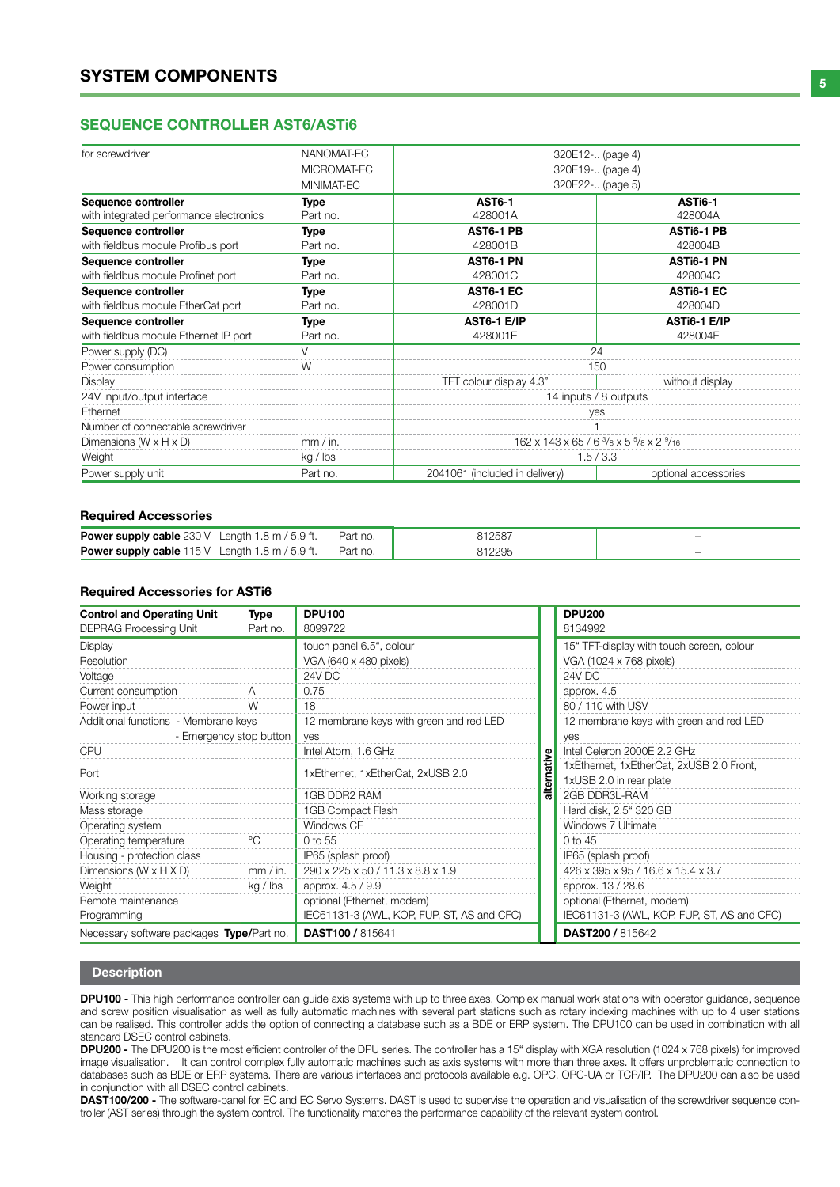### SEQUENCE CONTROLLER AST6/ASTi6

| for screwdriver                         | NANOMAT-EC  | 320E12- (page 4)                                       |                                         |  |  |  |
|-----------------------------------------|-------------|--------------------------------------------------------|-----------------------------------------|--|--|--|
|                                         | MICROMAT-EC |                                                        | 320E19- (page 4)                        |  |  |  |
|                                         | MINIMAT-EC  | 320E22- (page 5)                                       |                                         |  |  |  |
| Sequence controller                     | Type        | <b>AST6-1</b>                                          | ASTi6-1                                 |  |  |  |
| with integrated performance electronics | Part no.    | 428001A                                                | 428004A                                 |  |  |  |
| Sequence controller                     | Type        | AST6-1 PB                                              | <b>ASTI6-1 PB</b>                       |  |  |  |
| with fieldbus module Profibus port      | Part no.    | 428001B                                                | 428004B                                 |  |  |  |
| Sequence controller                     | Type        | AST6-1 PN                                              | <b>ASTI6-1 PN</b>                       |  |  |  |
| with fieldbus module Profinet port      | Part no.    | 428001C                                                | 428004C                                 |  |  |  |
| Sequence controller                     | Type        | AST6-1 EC                                              | ASTI6-1 EC                              |  |  |  |
| with fieldbus module EtherCat port      | Part no.    | 428001D                                                | 428004D                                 |  |  |  |
| Sequence controller                     | Type        | AST6-1 E/IP                                            | ASTI6-1 E/IP                            |  |  |  |
| with fieldbus module Ethernet IP port   | Part no.    | 428001E                                                | 428004E                                 |  |  |  |
| Power supply (DC)                       | $\vee$      | 24                                                     |                                         |  |  |  |
| Power consumption                       | W           |                                                        | 150                                     |  |  |  |
| Display                                 |             | TFT colour display 4.3"                                | without display                         |  |  |  |
| 24V input/output interface              |             |                                                        | 14 inputs / 8 outputs                   |  |  |  |
| Ethernet                                |             | ves                                                    |                                         |  |  |  |
| Number of connectable screwdriver       |             |                                                        |                                         |  |  |  |
| Dimensions $(W \times H \times D)$      | mm / in.    |                                                        | 162 x 143 x 65 / 6 3/8 x 5 5/8 x 2 9/16 |  |  |  |
| Weight                                  | kg / lbs    | 1.5/3.3                                                |                                         |  |  |  |
| Power supply unit                       | Part no.    | 2041061 (included in delivery)<br>optional accessories |                                         |  |  |  |

#### Required Accessories

| <b>Power supply cable 230 V</b><br>enath<br>◡                   |                                 | 258 | $\overline{\phantom{a}}$ |
|-----------------------------------------------------------------|---------------------------------|-----|--------------------------|
| <b>Power supply cable 1</b><br>enath<br>' 15 V<br><b>×</b><br>◡ | $\sim 1 -$<br>−di∟.<br>$\cdots$ |     | $\overline{\phantom{a}}$ |

#### Required Accessories for ASTi6

| <b>Control and Operating Unit</b>         | Type                    | <b>DPU100</b>                              |  | <b>DPU200</b>                              |
|-------------------------------------------|-------------------------|--------------------------------------------|--|--------------------------------------------|
| <b>DEPRAG Processing Unit</b>             | Part no.                | 8099722                                    |  | 8134992                                    |
| Display                                   |                         | touch panel 6.5", colour                   |  | 15" TFT-display with touch screen, colour  |
| Resolution                                |                         | VGA (640 x 480 pixels)                     |  | VGA (1024 x 768 pixels)                    |
| Voltage                                   |                         | 24V DC                                     |  | 24V DC                                     |
| Current consumption                       | А                       | 0.75                                       |  | approx. 4.5                                |
| Power input                               | W                       | 18                                         |  | 80 / 110 with USV                          |
| Additional functions - Membrane keys      |                         | 12 membrane keys with green and red LED    |  | 12 membrane keys with green and red LED    |
|                                           | - Emergency stop button | yes                                        |  | yes                                        |
| <b>CPU</b>                                |                         | Intel Atom, 1.6 GHz                        |  | Intel Celeron 2000E 2.2 GHz                |
| Port                                      |                         | 1xEthernet, 1xEtherCat, 2xUSB 2.0          |  | 1xEthernet, 1xEtherCat, 2xUSB 2.0 Front,   |
|                                           |                         |                                            |  | 1xUSB 2.0 in rear plate                    |
| Working storage                           |                         | 1GB DDR2 RAM                               |  | 2GB DDR3L-RAM                              |
| Mass storage                              |                         | 1GB Compact Flash                          |  | Hard disk, 2.5" 320 GB                     |
| Operating system                          |                         | Windows CE                                 |  | Windows 7 Ultimate                         |
| Operating temperature                     | $^{\circ}C$             | 0 to 55                                    |  | 0 to 45                                    |
| Housing - protection class                |                         | IP65 (splash proof)                        |  | IP65 (splash proof)                        |
| Dimensions ( $W \times H \times D$ )      | mm / in.                | 290 x 225 x 50 / 11.3 x 8.8 x 1.9          |  | 426 x 395 x 95 / 16.6 x 15.4 x 3.7         |
| Weight                                    | kg / lbs                | approx. 4.5 / 9.9                          |  | approx. 13 / 28.6                          |
| Remote maintenance                        |                         | optional (Ethernet, modem)                 |  | optional (Ethernet, modem)                 |
| Programming                               |                         | IEC61131-3 (AWL, KOP, FUP, ST, AS and CFC) |  | IEC61131-3 (AWL, KOP, FUP, ST, AS and CFC) |
| Necessary software packages Type/Part no. |                         | <b>DAST100 / 815641</b>                    |  | <b>DAST200 / 815642</b>                    |

#### Description

DPU100 - This high performance controller can guide axis systems with up to three axes. Complex manual work stations with operator guidance, sequence and screw position visualisation as well as fully automatic machines with several part stations such as rotary indexing machines with up to 4 user stations can be realised. This controller adds the option of connecting a database such as a BDE or ERP system. The DPU100 can be used in combination with all standard DSEC control cabinets.

DPU200 - The DPU200 is the most efficient controller of the DPU series. The controller has a 15" display with XGA resolution (1024 x 768 pixels) for improved image visualisation. It can control complex fully automatic machines such as axis systems with more than three axes. It offers unproblematic connection to databases such as BDE or ERP systems. There are various interfaces and protocols available e.g. OPC, OPC-UA or TCP/IP. The DPU200 can also be used in conjunction with all DSEC control cabinets.

DAST100/200 - The software-panel for EC and EC Servo Systems. DAST is used to supervise the operation and visualisation of the screwdriver sequence controller (AST series) through the system control. The functionality matches the performance capability of the relevant system control.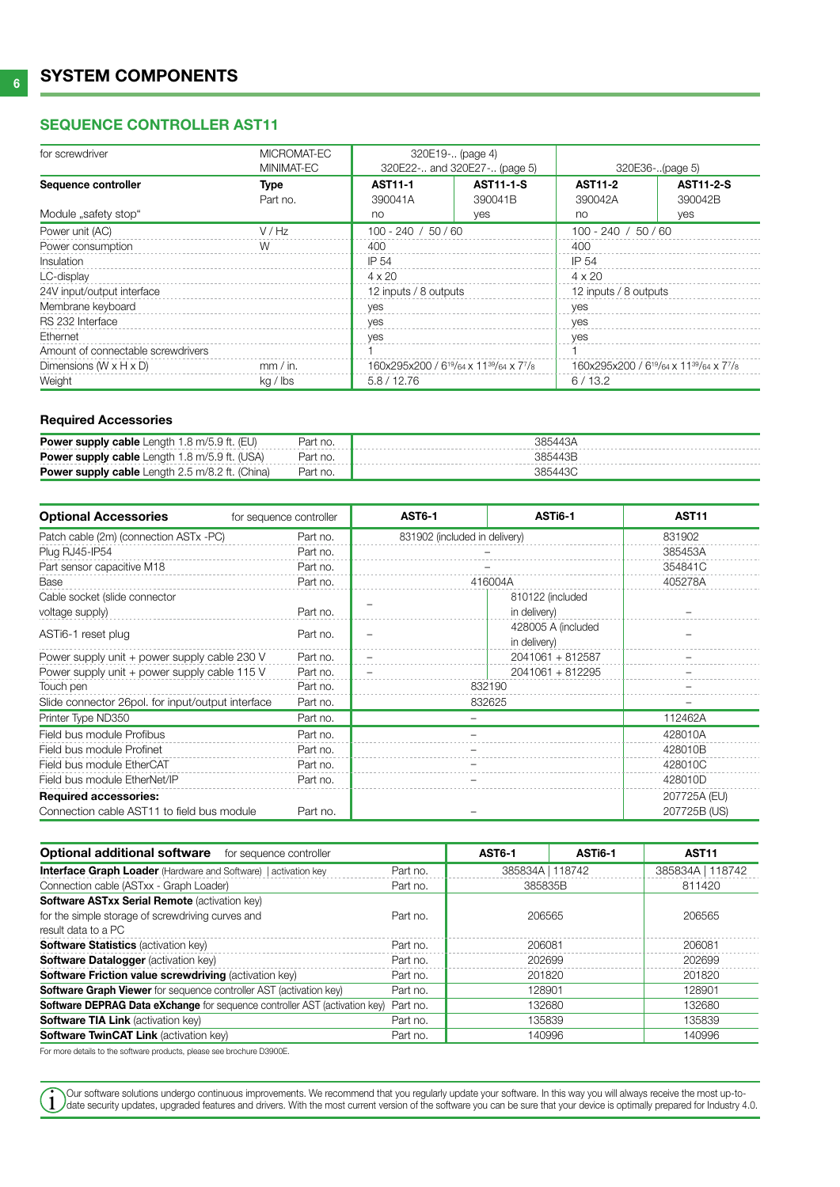# Sequence controller AST11

| for screwdriver                    | MICROMAT-EC | 320E19- (page 4)                                                             |                  |                                                                              |                  |
|------------------------------------|-------------|------------------------------------------------------------------------------|------------------|------------------------------------------------------------------------------|------------------|
|                                    | MINIMAT-EC  | 320E22- and 320E27- (page 5)                                                 |                  | 320E36-(page 5)                                                              |                  |
| Sequence controller                | Type        | <b>AST11-1</b>                                                               | <b>AST11-1-S</b> | <b>AST11-2</b>                                                               | <b>AST11-2-S</b> |
|                                    | Part no.    | 390041A                                                                      | 390041B          | 390042A                                                                      | 390042B          |
| Module "safety stop"               |             | no                                                                           | yes              | no                                                                           | <b>yes</b>       |
| Power unit (AC)                    | V / Hz      | $100 - 240 / 50 / 60$                                                        |                  | $100 - 240 / 50 / 60$                                                        |                  |
| Power consumption                  | W           | 400                                                                          |                  | 400                                                                          |                  |
| <i>Insulation</i>                  |             | IP 54                                                                        |                  | IP 54                                                                        |                  |
| LC-display                         |             | $4 \times 20$                                                                |                  | $4 \times 20$                                                                |                  |
| 24V input/output interface         |             | 12 inputs / 8 outputs                                                        |                  | 12 inputs / 8 outputs                                                        |                  |
| Membrane keyboard                  |             | yes                                                                          |                  | yes                                                                          |                  |
| RS 232 Interface                   |             | yes                                                                          |                  | yes                                                                          |                  |
| Ethernet                           |             | yes                                                                          |                  | yes                                                                          |                  |
| Amount of connectable screwdrivers |             |                                                                              |                  |                                                                              |                  |
| Dimensions $(W \times H \times D)$ | mm / in.    | 160x295x200 / 6 <sup>19</sup> /64 x 11 <sup>39</sup> /64 x 7 <sup>7</sup> /8 |                  | 160x295x200 / 6 <sup>19</sup> /64 x 11 <sup>39</sup> /64 x 7 <sup>7</sup> /8 |                  |
| Weight                             | kg / lbs    | 5.8/12.76<br>6/13.2                                                          |                  |                                                                              |                  |

### Required Accessories

| <b>Power supply cable</b> Length $1.8 \text{ m}/5.9 \text{ ft}$ . (EU) | Part no. | 385443A |
|------------------------------------------------------------------------|----------|---------|
| <b>Power supply cable</b> Length 1.8 m/5.9 ft. (USA)                   | Part no. | 385443B |
| <b>Power supply cable</b> Length 2.5 m/8.2 ft. (China)                 | Part no. | 385443C |

| <b>Optional Accessories</b>                       | for sequence controller | <b>AST6-1</b>                 | ASTi6-1                            | <b>AST11</b> |
|---------------------------------------------------|-------------------------|-------------------------------|------------------------------------|--------------|
| Patch cable (2m) (connection ASTx -PC)            | Part no.                | 831902 (included in delivery) |                                    | 831902       |
| Plug RJ45-IP54                                    | Part no.                |                               |                                    | 385453A      |
| Part sensor capacitive M18                        | Part no.                |                               |                                    | 354841C      |
| Base                                              | Part no.                |                               | 416004A                            | 405278A      |
| Cable socket (slide connector                     |                         |                               | 810122 (included                   |              |
| voltage supply)                                   | Part no.                |                               | in delivery)                       |              |
| ASTi6-1 reset plug                                | Part no.                |                               | 428005 A (included<br>in delivery) |              |
| Power supply unit + power supply cable 230 V      | Part no.                |                               | 2041061 + 812587                   |              |
| Power supply unit + power supply cable 115 V      | Part no.                |                               | 2041061 + 812295                   |              |
| Touch pen                                         | Part no.                | 832190                        |                                    |              |
| Slide connector 26pol. for input/output interface | Part no.                | 832625                        |                                    |              |
| Printer Type ND350                                | Part no.                |                               |                                    | 112462A      |
| Field bus module Profibus                         | Part no.                |                               |                                    | 428010A      |
| Field bus module Profinet                         | Part no.                |                               |                                    | 428010B      |
| Field bus module EtherCAT                         | Part no.                |                               |                                    | 428010C      |
| Field bus module EtherNet/IP                      | Part no.                |                               |                                    | 428010D      |
| <b>Required accessories:</b>                      |                         |                               |                                    | 207725A (EU) |
| Connection cable AST11 to field bus module        | Part no.                |                               |                                    | 207725B (US) |

| <b>Optional additional software</b> for sequence controller                       |          | <b>AST6-1</b>    | AST <sub>i6-1</sub> | AST <sub>11</sub> |  |
|-----------------------------------------------------------------------------------|----------|------------------|---------------------|-------------------|--|
| <b>Interface Graph Loader</b> (Hardware and Software)   activation key            | Part no. | 385834A   118742 |                     | 385834A   118742  |  |
| Connection cable (ASTxx - Graph Loader)                                           | Part no. | 385835B          |                     | 811420            |  |
| Software ASTxx Serial Remote (activation key)                                     |          |                  |                     |                   |  |
| for the simple storage of screwdriving curves and                                 | Part no. | 206565           |                     | 206565            |  |
| result data to a PC                                                               |          |                  |                     |                   |  |
| <b>Software Statistics (activation key)</b>                                       | Part no. | 206081           |                     | 206081            |  |
| <b>Software Datalogger (activation key)</b>                                       |          | 202699           |                     | 202699            |  |
| <b>Software Friction value screwdriving (activation key)</b>                      |          | 201820           |                     | 201820            |  |
| <b>Software Graph Viewer</b> for sequence controller AST (activation key)         |          | 128901           |                     | 128901            |  |
| <b>Software DEPRAG Data eXchange</b> for sequence controller AST (activation key) | Part no. | 132680           |                     | 132680            |  |
| <b>Software TIA Link (activation key)</b>                                         | Part no. | 135839           |                     | 135839            |  |
| <b>Software TwinCAT Link (activation kev)</b>                                     | Part no. | 140996           |                     | 140996            |  |

For more details to the software products, please see brochure D3900E.

Our software solutions undergo continuous improvements. We recommend that you regularly update your software. In this way you will always receive the most up-to-<br>date security updates, upgraded features and drivers. With t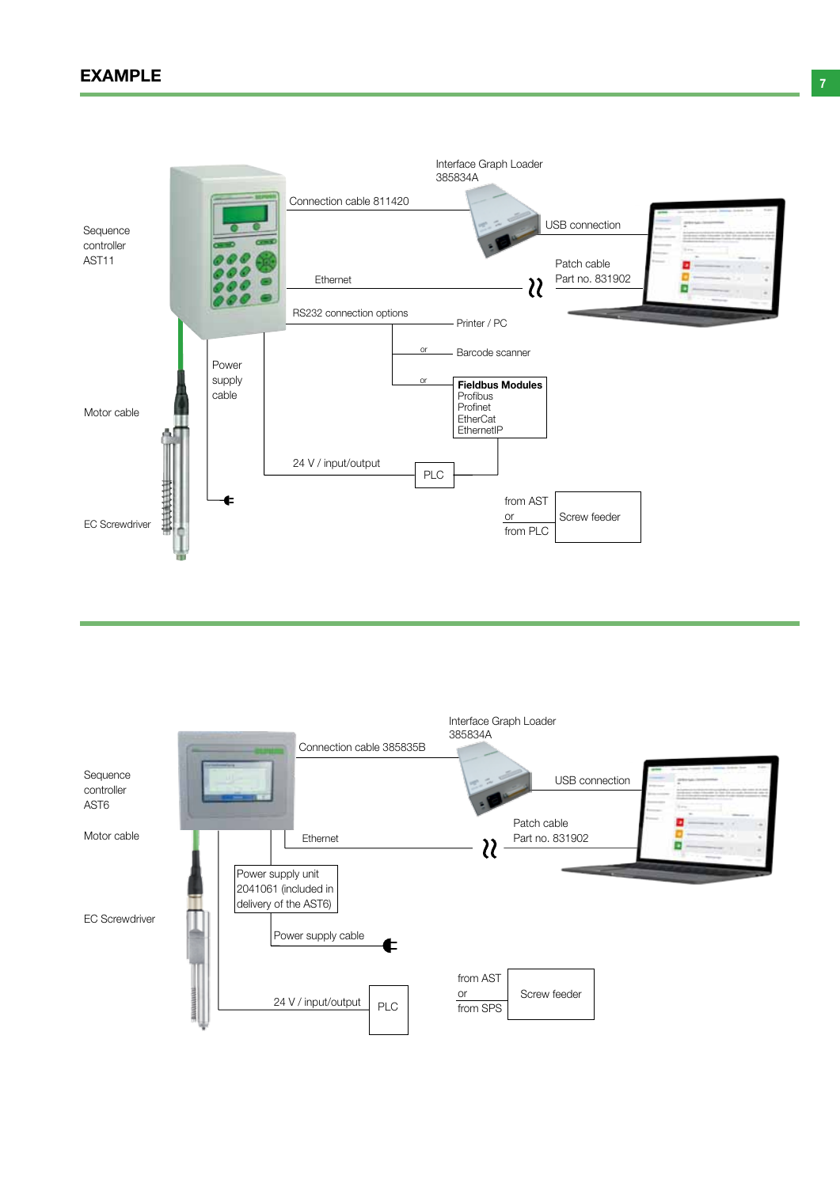# $\mathsf{EXAMPLE}$  . The set of the set of the set of the set of the set of the set of the set of the set of the set of the set of the set of the set of the set of the set of the set of the set of the set of the set of the set of t